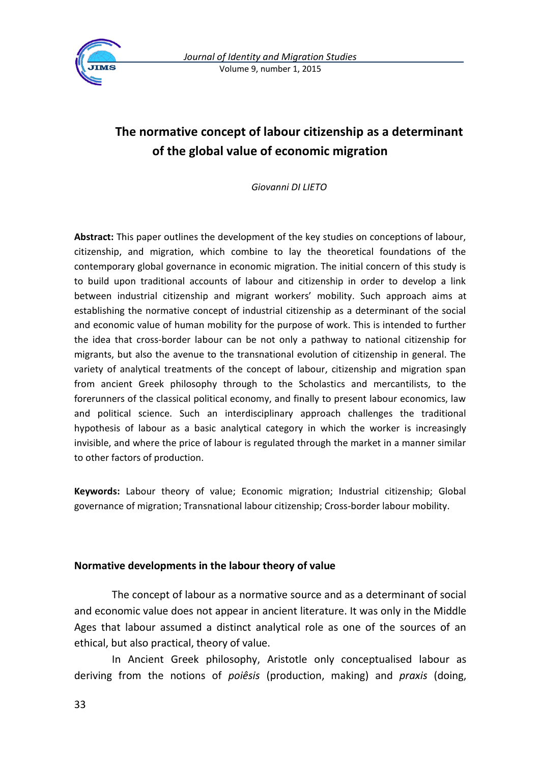

# **The normative concept of labour citizenship as a determinant of the global value of economic migration**

*Giovanni DI LIETO*

**Abstract:** This paper outlines the development of the key studies on conceptions of labour, citizenship, and migration, which combine to lay the theoretical foundations of the contemporary global governance in economic migration. The initial concern of this study is to build upon traditional accounts of labour and citizenship in order to develop a link between industrial citizenship and migrant workers' mobility. Such approach aims at establishing the normative concept of industrial citizenship as a determinant of the social and economic value of human mobility for the purpose of work. This is intended to further the idea that cross-border labour can be not only a pathway to national citizenship for migrants, but also the avenue to the transnational evolution of citizenship in general. The variety of analytical treatments of the concept of labour, citizenship and migration span from ancient Greek philosophy through to the Scholastics and mercantilists, to the forerunners of the classical political economy, and finally to present labour economics, law and political science. Such an interdisciplinary approach challenges the traditional hypothesis of labour as a basic analytical category in which the worker is increasingly invisible, and where the price of labour is regulated through the market in a manner similar to other factors of production.

**Keywords:** Labour theory of value; Economic migration; Industrial citizenship; Global governance of migration; Transnational labour citizenship; Cross-border labour mobility.

# **Normative developments in the labour theory of value**

The concept of labour as a normative source and as a determinant of social and economic value does not appear in ancient literature. It was only in the Middle Ages that labour assumed a distinct analytical role as one of the sources of an ethical, but also practical, theory of value.

In Ancient Greek philosophy, Aristotle only conceptualised labour as deriving from the notions of *poiêsis* (production, making) and *praxis* (doing,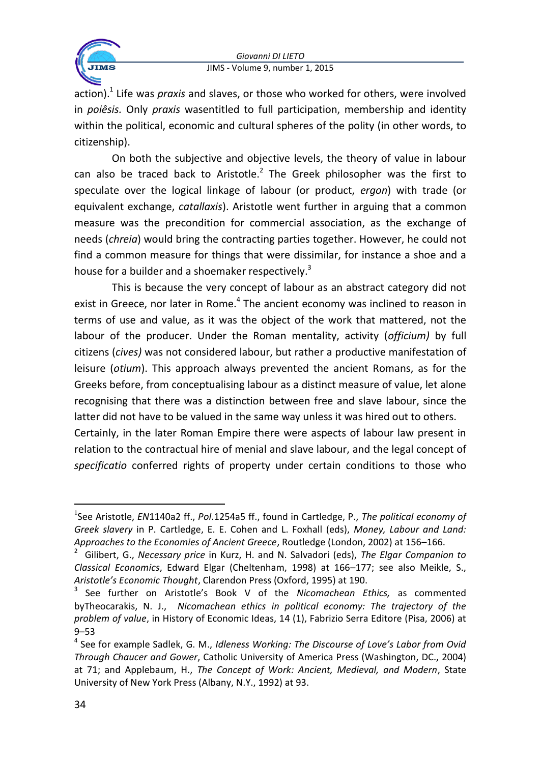

action).<sup>1</sup> Life was *praxis* and slaves, or those who worked for others, were involved in *poiêsis.* Only *praxis* wasentitled to full participation, membership and identity within the political, economic and cultural spheres of the polity (in other words, to citizenship).

On both the subjective and objective levels, the theory of value in labour can also be traced back to Aristotle. $^2$  The Greek philosopher was the first to speculate over the logical linkage of labour (or product, *ergon*) with trade (or equivalent exchange, *catallaxis*). Aristotle went further in arguing that a common measure was the precondition for commercial association, as the exchange of needs (*chreia*) would bring the contracting parties together. However, he could not find a common measure for things that were dissimilar, for instance a shoe and a house for a builder and a shoemaker respectively.<sup>3</sup>

This is because the very concept of labour as an abstract category did not exist in Greece, nor later in Rome.<sup>4</sup> The ancient economy was inclined to reason in terms of use and value, as it was the object of the work that mattered, not the labour of the producer. Under the Roman mentality, activity (*officium)* by full citizens (*cives)* was not considered labour, but rather a productive manifestation of leisure (*otium*). This approach always prevented the ancient Romans, as for the Greeks before, from conceptualising labour as a distinct measure of value, let alone recognising that there was a distinction between free and slave labour, since the latter did not have to be valued in the same way unless it was hired out to others. Certainly, in the later Roman Empire there were aspects of labour law present in

relation to the contractual hire of menial and slave labour, and the legal concept of *specificatio* conferred rights of property under certain conditions to those who

<sup>1</sup> See Aristotle, *EN*1140a2 ff., *Pol*.1254a5 ff., found in Cartledge, P., *The political economy of Greek slavery* in P. Cartledge, E. E. Cohen and L. Foxhall (eds), *Money, Labour and Land: Approaches to the Economies of Ancient Greece*, Routledge (London, 2002) at 156–166.

<sup>2</sup> Gilibert, G., *Necessary price* in Kurz, H. and N. Salvadori (eds), *The Elgar Companion to Classical Economics*, Edward Elgar (Cheltenham, 1998) at 166–177; see also Meikle, S., *Aristotle's Economic Thought*, Clarendon Press (Oxford, 1995) at 190.

<sup>3</sup> See further on Aristotle's Book V of the *Nicomachean Ethics,* as commented byTheocarakis, N. J., *Nicomachean ethics in political economy: The trajectory of the problem of value*, in History of Economic Ideas, 14 (1), Fabrizio Serra Editore (Pisa, 2006) at 9–53

<sup>4</sup> See for example Sadlek, G. M., *Idleness Working: The Discourse of Love's Labor from Ovid Through Chaucer and Gower*, Catholic University of America Press (Washington, DC., 2004) at 71; and Applebaum, H., *The Concept of Work: Ancient, Medieval, and Modern*, State University of New York Press (Albany, N.Y., 1992) at 93.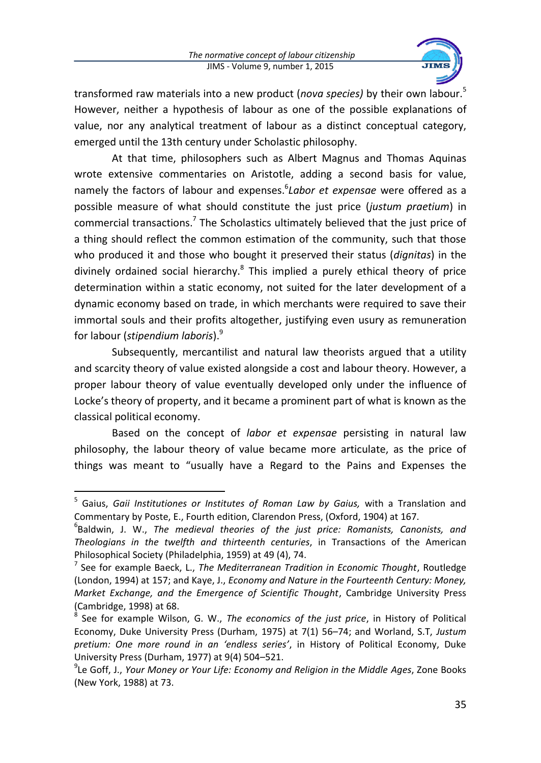

transformed raw materials into a new product (*nova species)* by their own labour.<sup>5</sup> However, neither a hypothesis of labour as one of the possible explanations of value, nor any analytical treatment of labour as a distinct conceptual category, emerged until the 13th century under Scholastic philosophy.

At that time, philosophers such as Albert Magnus and Thomas Aquinas wrote extensive commentaries on Aristotle, adding a second basis for value, namely the factors of labour and expenses.<sup>6</sup>Labor et expensae were offered as a possible measure of what should constitute the just price (*justum praetium*) in commercial transactions.<sup>7</sup> The Scholastics ultimately believed that the just price of a thing should reflect the common estimation of the community, such that those who produced it and those who bought it preserved their status (*dignitas*) in the divinely ordained social hierarchy.<sup>8</sup> This implied a purely ethical theory of price determination within a static economy, not suited for the later development of a dynamic economy based on trade, in which merchants were required to save their immortal souls and their profits altogether, justifying even usury as remuneration for labour (*stipendium laboris*).<sup>9</sup>

Subsequently, mercantilist and natural law theorists argued that a utility and scarcity theory of value existed alongside a cost and labour theory. However, a proper labour theory of value eventually developed only under the influence of Locke's theory of property, and it became a prominent part of what is known as the classical political economy.

Based on the concept of *labor et expensae* persisting in natural law philosophy, the labour theory of value became more articulate, as the price of things was meant to "usually have a Regard to the Pains and Expenses the

<sup>1</sup> <sup>5</sup> Gaius, *Gaii Institutiones or Institutes of Roman Law by Gaius*, with a Translation and Commentary by Poste, E., Fourth edition, Clarendon Press, (Oxford, 1904) at 167.

<sup>6</sup> Baldwin, J. W., *The medieval theories of the just price: Romanists, Canonists, and Theologians in the twelfth and thirteenth centuries*, in Transactions of the American Philosophical Society (Philadelphia, 1959) at 49 (4), 74.

<sup>7</sup> See for example Baeck, L., *The Mediterranean Tradition in Economic Thought*, Routledge (London, 1994) at 157; and Kaye, J., *Economy and Nature in the Fourteenth Century: Money, Market Exchange, and the Emergence of Scientific Thought*, Cambridge University Press (Cambridge, 1998) at 68.

<sup>8</sup> See for example Wilson, G. W., *The economics of the just price*, in History of Political Economy, Duke University Press (Durham, 1975) at 7(1) 56–74; and Worland, S.T, *Justum pretium: One more round in an 'endless series'*, in History of Political Economy, Duke University Press (Durham, 1977) at 9(4) 504–521.

<sup>9</sup> Le Goff, J., *Your Money or Your Life: Economy and Religion in the Middle Ages*, Zone Books (New York, 1988) at 73.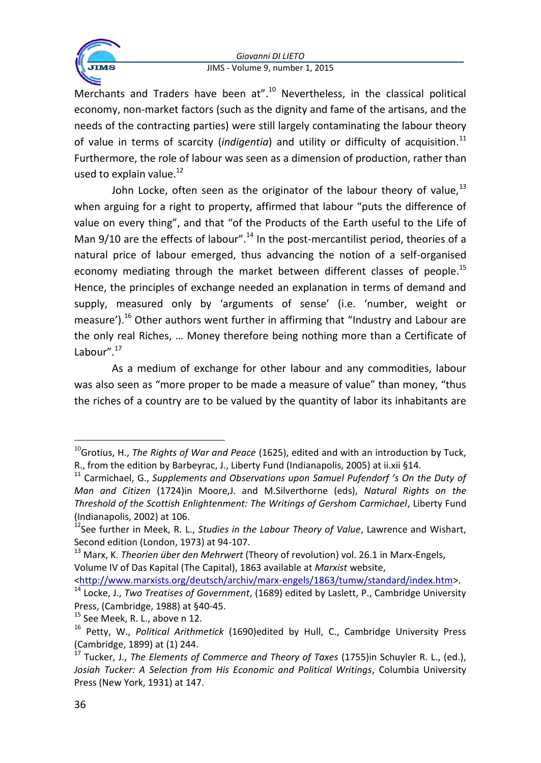

Merchants and Traders have been at".<sup>10</sup> Nevertheless, in the classical political economy, non-market factors (such as the dignity and fame of the artisans, and the needs of the contracting parties) were still largely contaminating the labour theory of value in terms of scarcity (*indigentia*) and utility or difficulty of acquisition.<sup>11</sup> Furthermore, the role of labour was seen as a dimension of production, rather than used to explain value.<sup>12</sup>

John Locke, often seen as the originator of the labour theory of value.<sup>13</sup> when arguing for a right to property, affirmed that labour "puts the difference of value on every thing", and that "of the Products of the Earth useful to the Life of Man 9/10 are the effects of labour".<sup>14</sup> In the post-mercantilist period, theories of a natural price of labour emerged, thus advancing the notion of a self-organised economy mediating through the market between different classes of people.<sup>15</sup> Hence, the principles of exchange needed an explanation in terms of demand and supply, measured only by 'arguments of sense' (i.e. 'number, weight or measure').<sup>16</sup> Other authors went further in affirming that "Industry and Labour are the only real Riches, … Money therefore being nothing more than a Certificate of Labour".<sup>17</sup>

As a medium of exchange for other labour and any commodities, labour was also seen as "more proper to be made a measure of value" than money, "thus the riches of a country are to be valued by the quantity of labor its inhabitants are

<sup>10</sup>Grotius, H., *The Rights of War and Peace* (1625), edited and with an introduction by Tuck, R., from the edition by Barbeyrac, J., Liberty Fund (Indianapolis, 2005) at ii.xii §14.

<sup>11</sup> Carmichael, G., *Supplements and Observations upon Samuel Pufendorf 's On the Duty of Man and Citizen* (1724)in Moore,J. and M.Silverthorne (eds), *Natural Rights on the Threshold of the Scottish Enlightenment: The Writings of Gershom Carmichael*, Liberty Fund (Indianapolis, 2002) at 106.

<sup>12</sup>See further in Meek, R. L., *Studies in the Labour Theory of Value*, Lawrence and Wishart, Second edition (London, 1973) at 94-107.

<sup>13</sup> Marx, K. *Theorien über den Mehrwert* (Theory of revolution) vol. 26.1 in Marx-Engels, Volume IV of Das Kapital (The Capital), 1863 available at *Marxist* website,

[<sup>&</sup>lt;http://www.marxists.org/deutsch/archiv/marx-engels/1863/tumw/standard/index.htm>](http://www.marxists.org/deutsch/archiv/marx-engels/1863/tumw/standard/index.htm). <sup>14</sup> Locke, J., *Two Treatises of Government*, (1689) edited by Laslett, P., Cambridge University

Press, (Cambridge, 1988) at §40-45.

 $15$  See Meek, R. L., above n 12.

<sup>16</sup> Petty, W., *Political Arithmetick* (1690)edited by Hull, C., Cambridge University Press (Cambridge, 1899) at (1) 244.

<sup>17</sup> Tucker, J., *The Elements of Commerce and Theory of Taxes* (1755)in Schuyler R. L., (ed.), *Josiah Tucker: A Selection from His Economic and Political Writings*, Columbia University Press (New York, 1931) at 147.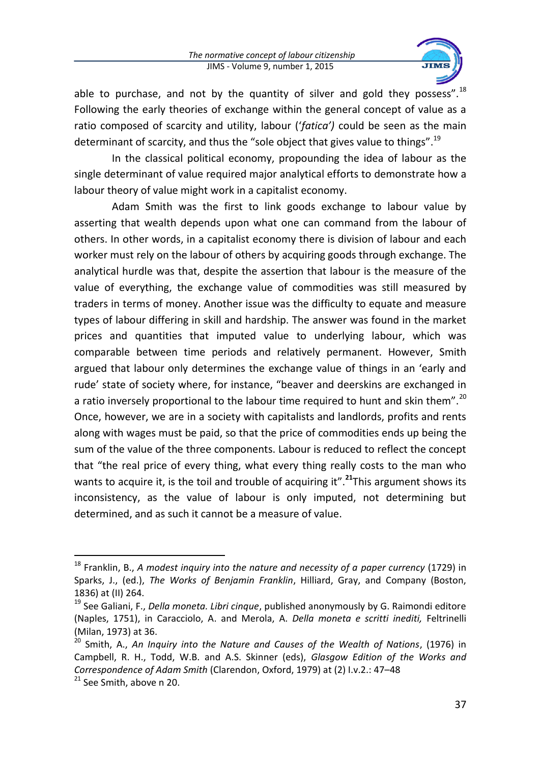

able to purchase, and not by the quantity of silver and gold they possess".<sup>18</sup> Following the early theories of exchange within the general concept of value as a ratio composed of scarcity and utility, labour ('*fatica')* could be seen as the main determinant of scarcity, and thus the "sole object that gives value to things".<sup>19</sup>

In the classical political economy, propounding the idea of labour as the single determinant of value required major analytical efforts to demonstrate how a labour theory of value might work in a capitalist economy.

Adam Smith was the first to link goods exchange to labour value by asserting that wealth depends upon what one can command from the labour of others. In other words, in a capitalist economy there is division of labour and each worker must rely on the labour of others by acquiring goods through exchange. The analytical hurdle was that, despite the assertion that labour is the measure of the value of everything, the exchange value of commodities was still measured by traders in terms of money. Another issue was the difficulty to equate and measure types of labour differing in skill and hardship. The answer was found in the market prices and quantities that imputed value to underlying labour, which was comparable between time periods and relatively permanent. However, Smith argued that labour only determines the exchange value of things in an 'early and rude' state of society where, for instance, "beaver and deerskins are exchanged in a ratio inversely proportional to the labour time required to hunt and skin them".<sup>20</sup> Once, however, we are in a society with capitalists and landlords, profits and rents along with wages must be paid, so that the price of commodities ends up being the sum of the value of the three components. Labour is reduced to reflect the concept that "the real price of every thing, what every thing really costs to the man who wants to acquire it, is the toil and trouble of acquiring it".**<sup>21</sup>**This argument shows its inconsistency, as the value of labour is only imputed, not determining but determined, and as such it cannot be a measure of value.

<sup>18</sup> Franklin, B., *A modest inquiry into the nature and necessity of a paper currency* (1729) in Sparks, J., (ed.), *The Works of Benjamin Franklin*, Hilliard, Gray, and Company (Boston, 1836) at (II) 264.

<sup>19</sup> See Galiani, F., *Della moneta. Libri cinque*, published anonymously by G. Raimondi editore (Naples, 1751), in Caracciolo, A. and Merola, A. *Della moneta e scritti inediti,* Feltrinelli (Milan, 1973) at 36.

<sup>20</sup> Smith, A., *An Inquiry into the Nature and Causes of the Wealth of Nations*, (1976) in Campbell, R. H., Todd, W.B. and A.S. Skinner (eds), *Glasgow Edition of the Works and Correspondence of Adam Smith* (Clarendon, Oxford, 1979) at (2) I.v.2.: 47–48

<sup>&</sup>lt;sup>21</sup> See Smith, above n 20.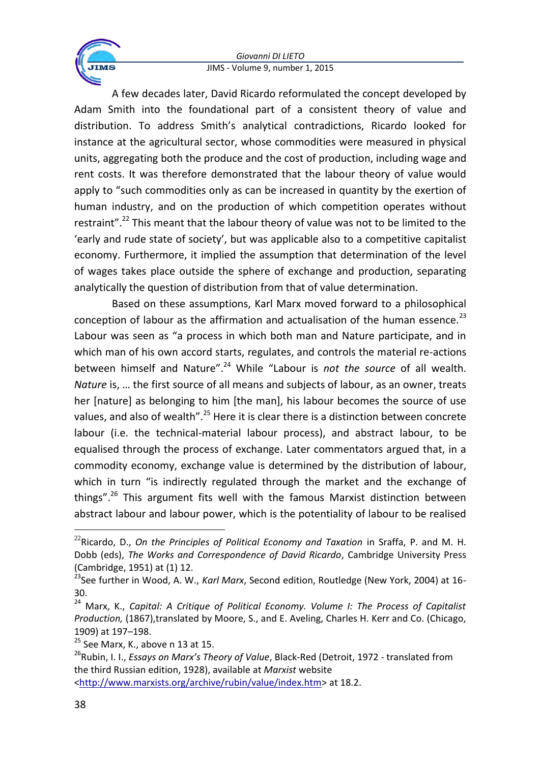

A few decades later, David Ricardo reformulated the concept developed by Adam Smith into the foundational part of a consistent theory of value and distribution. To address Smith's analytical contradictions, Ricardo looked for instance at the agricultural sector, whose commodities were measured in physical units, aggregating both the produce and the cost of production, including wage and rent costs. It was therefore demonstrated that the labour theory of value would apply to "such commodities only as can be increased in quantity by the exertion of human industry, and on the production of which competition operates without restraint".<sup>22</sup> This meant that the labour theory of value was not to be limited to the 'early and rude state of society', but was applicable also to a competitive capitalist economy. Furthermore, it implied the assumption that determination of the level of wages takes place outside the sphere of exchange and production, separating analytically the question of distribution from that of value determination.

Based on these assumptions, Karl Marx moved forward to a philosophical conception of labour as the affirmation and actualisation of the human essence.<sup>23</sup> Labour was seen as "a process in which both man and Nature participate, and in which man of his own accord starts, regulates, and controls the material re-actions between himself and Nature".<sup>24</sup> While "Labour is *not the source* of all wealth. *Nature* is, … the first source of all means and subjects of labour, as an owner, treats her [nature] as belonging to him [the man], his labour becomes the source of use values, and also of wealth".<sup>25</sup> Here it is clear there is a distinction between concrete labour (i.e. the technical-material labour process), and abstract labour, to be equalised through the process of exchange. Later commentators argued that, in a commodity economy, exchange value is determined by the distribution of labour, which in turn "is indirectly regulated through the market and the exchange of things".<sup>26</sup> This argument fits well with the famous Marxist distinction between abstract labour and labour power, which is the potentiality of labour to be realised

<sup>22</sup>Ricardo, D., *On the Principles of Political Economy and Taxation* in Sraffa, P. and M. H. Dobb (eds), *The Works and Correspondence of David Ricardo*, Cambridge University Press (Cambridge, 1951) at (1) 12.

<sup>23</sup>See further in Wood, A. W., *Karl Marx*, Second edition, Routledge (New York, 2004) at 16- 30.

<sup>24</sup> Marx, K., *Capital: A Critique of Political Economy. Volume I: The Process of Capitalist Production,* (1867),translated by Moore, S., and E. Aveling, Charles H. Kerr and Co. (Chicago, 1909) at 197–198.

 $25$  See Marx, K., above n 13 at 15.

<sup>&</sup>lt;sup>26</sup>Rubin, I. I., *Essays on Marx's Theory of Value*, Black-Red (Detroit, 1972 - translated from the third Russian edition, 1928), available at *Marxist* website

[<sup>&</sup>lt;http://www.marxists.org/archive/rubin/value/index.htm>](http://www.marxists.org/archive/rubin/value/index.htm) at 18.2.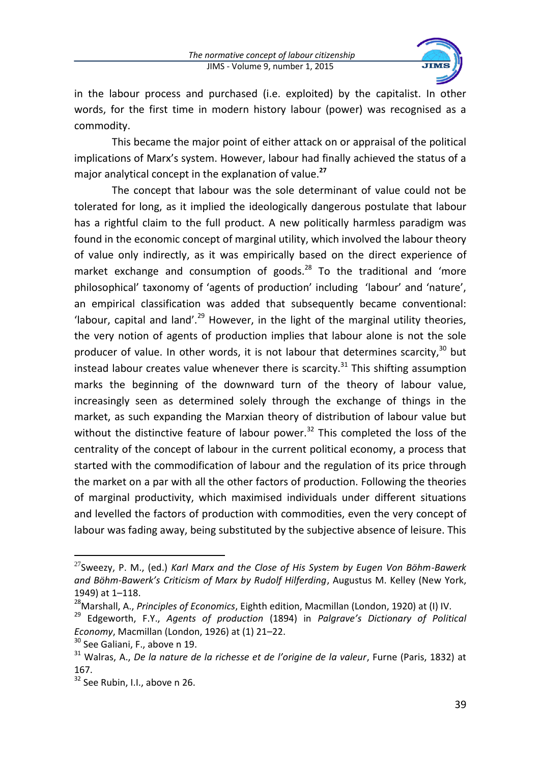

in the labour process and purchased (i.e. exploited) by the capitalist. In other words, for the first time in modern history labour (power) was recognised as a commodity.

This became the major point of either attack on or appraisal of the political implications of Marx's system. However, labour had finally achieved the status of a major analytical concept in the explanation of value.**<sup>27</sup>**

The concept that labour was the sole determinant of value could not be tolerated for long, as it implied the ideologically dangerous postulate that labour has a rightful claim to the full product. A new politically harmless paradigm was found in the economic concept of marginal utility, which involved the labour theory of value only indirectly, as it was empirically based on the direct experience of market exchange and consumption of goods.<sup>28</sup> To the traditional and 'more philosophical' taxonomy of 'agents of production' including 'labour' and 'nature', an empirical classification was added that subsequently became conventional: 'labour, capital and land'.<sup>29</sup> However, in the light of the marginal utility theories, the very notion of agents of production implies that labour alone is not the sole producer of value. In other words, it is not labour that determines scarcity, $30$  but instead labour creates value whenever there is scarcity. $31$  This shifting assumption marks the beginning of the downward turn of the theory of labour value, increasingly seen as determined solely through the exchange of things in the market, as such expanding the Marxian theory of distribution of labour value but without the distinctive feature of labour power. $32$  This completed the loss of the centrality of the concept of labour in the current political economy, a process that started with the commodification of labour and the regulation of its price through the market on a par with all the other factors of production. Following the theories of marginal productivity, which maximised individuals under different situations and levelled the factors of production with commodities, even the very concept of labour was fading away, being substituted by the subjective absence of leisure. This

<sup>27</sup>Sweezy, P. M., (ed.) *Karl Marx and the Close of His System by Eugen Von Böhm-Bawerk and Böhm-Bawerk's Criticism of Marx by Rudolf Hilferding*, Augustus M. Kelley (New York, 1949) at 1–118.

<sup>28</sup>Marshall, A., *Principles of Economics*, Eighth edition, Macmillan (London, 1920) at (I) IV.

<sup>29</sup> Edgeworth, F.Y., *Agents of production* (1894) in *Palgrave's Dictionary of Political Economy*, Macmillan (London, 1926) at (1) 21–22.

<sup>&</sup>lt;sup>30</sup> See Galiani, F., above n 19.

<sup>31</sup> Walras, A., *De la nature de la richesse et de l'origine de la valeur*, Furne (Paris, 1832) at 167.

<sup>&</sup>lt;sup>32</sup> See Rubin, I.I., above n 26.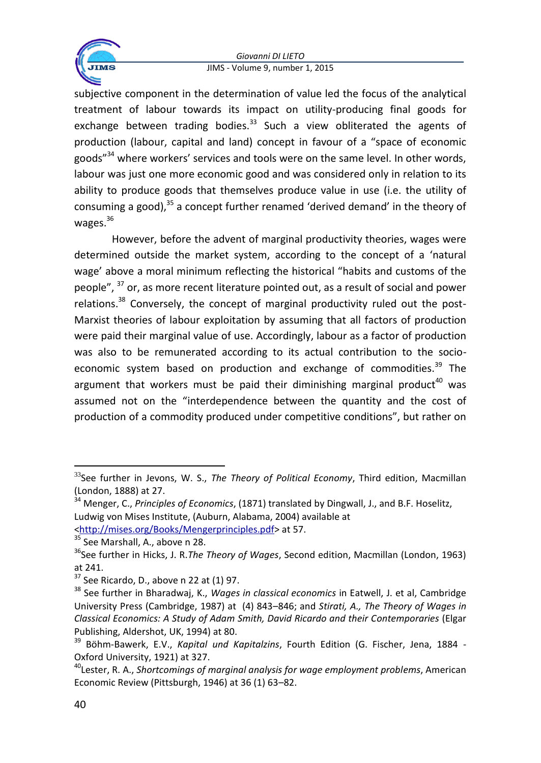

subjective component in the determination of value led the focus of the analytical treatment of labour towards its impact on utility-producing final goods for exchange between trading bodies. $33$  Such a view obliterated the agents of production (labour, capital and land) concept in favour of a "space of economic goods"<sup>34</sup> where workers' services and tools were on the same level. In other words, labour was just one more economic good and was considered only in relation to its ability to produce goods that themselves produce value in use (i.e. the utility of consuming a good), $35$  a concept further renamed 'derived demand' in the theory of wages. $36$ 

However, before the advent of marginal productivity theories, wages were determined outside the market system, according to the concept of a 'natural wage' above a moral minimum reflecting the historical "habits and customs of the people". <sup>37</sup> or, as more recent literature pointed out, as a result of social and power relations. $38$  Conversely, the concept of marginal productivity ruled out the post-Marxist theories of labour exploitation by assuming that all factors of production were paid their marginal value of use. Accordingly, labour as a factor of production was also to be remunerated according to its actual contribution to the socioeconomic system based on production and exchange of commodities. $39$  The argument that workers must be paid their diminishing marginal product<sup>40</sup> was assumed not on the "interdependence between the quantity and the cost of production of a commodity produced under competitive conditions", but rather on

1

<sup>33</sup>See further in Jevons, W. S., *The Theory of Political Economy*, Third edition, Macmillan (London, 1888) at 27.

<sup>34</sup> Menger, C., *Principles of Economics*, (1871) translated by Dingwall, J., and B.F. Hoselitz, Ludwig von Mises Institute, (Auburn, Alabama, 2004) available at [<http://mises.org/Books/Mengerprinciples.pdf>](http://mises.org/Books/Mengerprinciples.pdf) at 57.

<sup>&</sup>lt;sup>35</sup> See Marshall, A., above n 28.

<sup>&</sup>lt;sup>36</sup>See further in Hicks, J. R.*The Theory of Wages*, Second edition, Macmillan (London, 1963) at 241.

 $37$  See Ricardo, D., above n 22 at (1) 97.

<sup>38</sup> See further in Bharadwaj, K., *Wages in classical economics* in Eatwell, J. et al, Cambridge University Press (Cambridge, 1987) at (4) 843–846; and *Stirati, A., The Theory of Wages in Classical Economics: A Study of Adam Smith, David Ricardo and their Contemporaries* (Elgar Publishing, Aldershot, UK, 1994) at 80.

<sup>39</sup> Böhm-Bawerk, E.V., *Kapital und Kapitalzins*, Fourth Edition (G. Fischer, Jena, 1884 - Oxford University, 1921) at 327.

<sup>40</sup>Lester, R. A., *Shortcomings of marginal analysis for wage employment problems*, American Economic Review (Pittsburgh, 1946) at 36 (1) 63–82.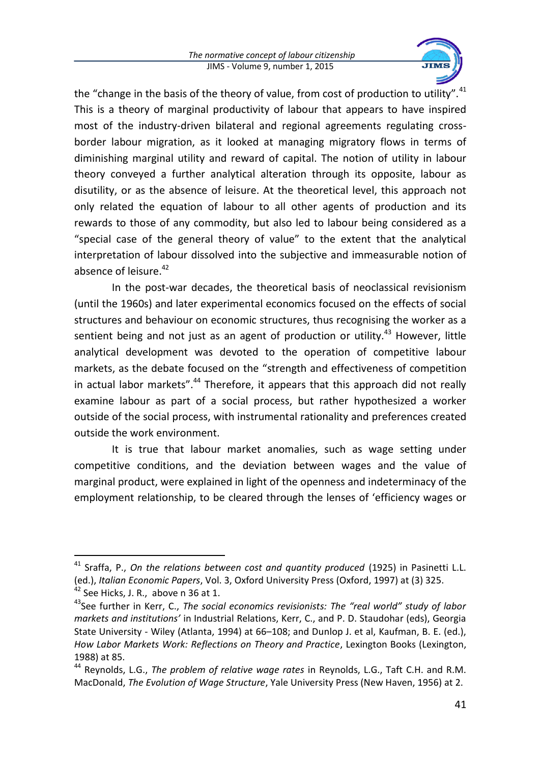

the "change in the basis of the theory of value, from cost of production to utility".<sup>41</sup> This is a theory of marginal productivity of labour that appears to have inspired most of the industry-driven bilateral and regional agreements regulating crossborder labour migration, as it looked at managing migratory flows in terms of diminishing marginal utility and reward of capital. The notion of utility in labour theory conveyed a further analytical alteration through its opposite, labour as disutility, or as the absence of leisure. At the theoretical level, this approach not only related the equation of labour to all other agents of production and its rewards to those of any commodity, but also led to labour being considered as a "special case of the general theory of value" to the extent that the analytical interpretation of labour dissolved into the subjective and immeasurable notion of absence of leisure.<sup>42</sup>

In the post-war decades, the theoretical basis of neoclassical revisionism (until the 1960s) and later experimental economics focused on the effects of social structures and behaviour on economic structures, thus recognising the worker as a sentient being and not just as an agent of production or utility. $43$  However, little analytical development was devoted to the operation of competitive labour markets, as the debate focused on the "strength and effectiveness of competition in actual labor markets".<sup>44</sup> Therefore, it appears that this approach did not really examine labour as part of a social process, but rather hypothesized a worker outside of the social process, with instrumental rationality and preferences created outside the work environment.

It is true that labour market anomalies, such as wage setting under competitive conditions, and the deviation between wages and the value of marginal product, were explained in light of the openness and indeterminacy of the employment relationship, to be cleared through the lenses of 'efficiency wages or

<sup>&</sup>lt;sup>41</sup> Sraffa, P., *On the relations between cost and quantity produced* (1925) in Pasinetti L.L. (ed.), *Italian Economic Papers*, Vol. 3, Oxford University Press (Oxford, 1997) at (3) 325.

 $\frac{1}{42}$  See Hicks, J. R., above n 36 at 1.

<sup>43</sup>See further in Kerr, C., *The social economics revisionists: The "real world" study of labor markets and institutions'* in Industrial Relations, Kerr, C., and P. D. Staudohar (eds), Georgia State University - Wiley (Atlanta, 1994) at 66–108; and Dunlop J. et al, Kaufman, B. E. (ed.), *How Labor Markets Work: Reflections on Theory and Practice*, Lexington Books (Lexington, 1988) at 85.

<sup>44</sup> Reynolds, L.G., *The problem of relative wage rates* in Reynolds, L.G., Taft C.H. and R.M. MacDonald, *The Evolution of Wage Structure*, Yale University Press (New Haven, 1956) at 2.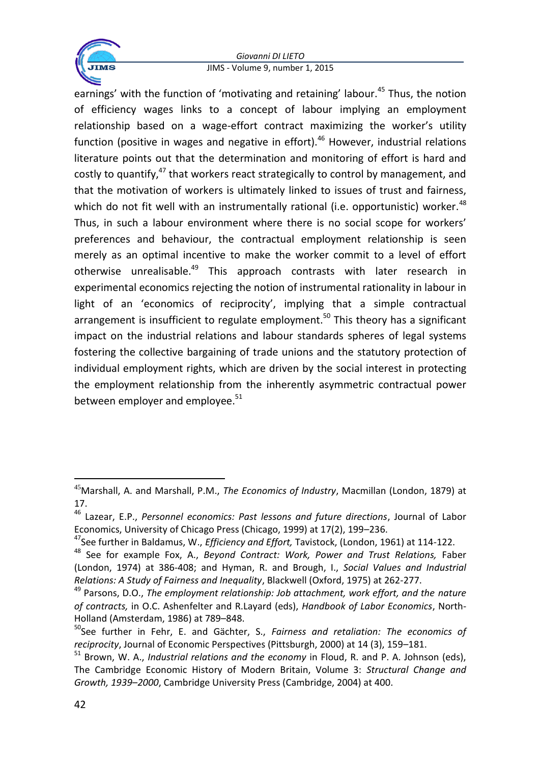

earnings' with the function of 'motivating and retaining' labour.<sup>45</sup> Thus, the notion of efficiency wages links to a concept of labour implying an employment relationship based on a wage-effort contract maximizing the worker's utility function (positive in wages and negative in effort).<sup>46</sup> However, industrial relations literature points out that the determination and monitoring of effort is hard and costly to quantify, $47$  that workers react strategically to control by management, and that the motivation of workers is ultimately linked to issues of trust and fairness, which do not fit well with an instrumentally rational (i.e. opportunistic) worker.<sup>48</sup> Thus, in such a labour environment where there is no social scope for workers' preferences and behaviour, the contractual employment relationship is seen merely as an optimal incentive to make the worker commit to a level of effort otherwise unrealisable.<sup>49</sup> This approach contrasts with later research in experimental economics rejecting the notion of instrumental rationality in labour in light of an 'economics of reciprocity', implying that a simple contractual arrangement is insufficient to regulate employment.<sup>50</sup> This theory has a significant impact on the industrial relations and labour standards spheres of legal systems fostering the collective bargaining of trade unions and the statutory protection of individual employment rights, which are driven by the social interest in protecting the employment relationship from the inherently asymmetric contractual power between employer and employee. $51$ 

 $\overline{a}$ 

<sup>45</sup>Marshall, A. and Marshall, P.M., *The Economics of Industry*, Macmillan (London, 1879) at 17.

<sup>46</sup> Lazear, E.P., *Personnel economics: Past lessons and future directions*, Journal of Labor Economics, University of Chicago Press (Chicago, 1999) at 17(2), 199–236.

<sup>47</sup>See further in Baldamus, W., *Efficiency and Effort,* Tavistock, (London, 1961) at 114-122.

<sup>48</sup> See for example Fox, A., *Beyond Contract: Work, Power and Trust Relations,* Faber (London, 1974) at 386-408; and Hyman, R. and Brough, I., *Social Values and Industrial Relations: A Study of Fairness and Inequality*, Blackwell (Oxford, 1975) at 262-277.

<sup>49</sup> Parsons, D.O., *The employment relationship: Job attachment, work effort, and the nature of contracts,* in O.C. Ashenfelter and R.Layard (eds), *Handbook of Labor Economics*, North-Holland (Amsterdam, 1986) at 789–848.

<sup>50</sup>See further in Fehr, E. and Gächter, S., *Fairness and retaliation: The economics of reciprocity*, Journal of Economic Perspectives (Pittsburgh, 2000) at 14 (3), 159–181.

<sup>51</sup> Brown, W. A., *Industrial relations and the economy* in Floud, R. and P. A. Johnson (eds), The Cambridge Economic History of Modern Britain, Volume 3: *Structural Change and Growth, 1939–2000*, Cambridge University Press (Cambridge, 2004) at 400.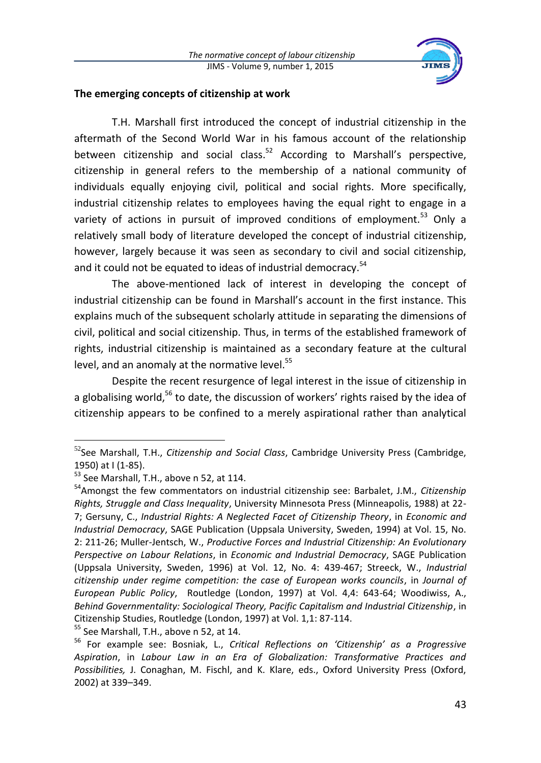

### **The emerging concepts of citizenship at work**

T.H. Marshall first introduced the concept of industrial citizenship in the aftermath of the Second World War in his famous account of the relationship between citizenship and social class.<sup>52</sup> According to Marshall's perspective, citizenship in general refers to the membership of a national community of individuals equally enjoying civil, political and social rights. More specifically, industrial citizenship relates to employees having the equal right to engage in a variety of actions in pursuit of improved conditions of employment.<sup>53</sup> Only a relatively small body of literature developed the concept of industrial citizenship, however, largely because it was seen as secondary to civil and social citizenship, and it could not be equated to ideas of industrial democracy.<sup>54</sup>

The above-mentioned lack of interest in developing the concept of industrial citizenship can be found in Marshall's account in the first instance. This explains much of the subsequent scholarly attitude in separating the dimensions of civil, political and social citizenship. Thus, in terms of the established framework of rights, industrial citizenship is maintained as a secondary feature at the cultural level, and an anomaly at the normative level.<sup>55</sup>

Despite the recent resurgence of legal interest in the issue of citizenship in a globalising world,<sup>56</sup> to date, the discussion of workers' rights raised by the idea of citizenship appears to be confined to a merely aspirational rather than analytical

 $\ddot{\phantom{a}}$ 

<sup>55</sup> See Marshall, T.H., above n 52, at 14.

<sup>52</sup>See Marshall, T.H., *Citizenship and Social Class*, Cambridge University Press (Cambridge, 1950) at I (1-85).

<sup>&</sup>lt;sup>53</sup> See Marshall, T.H., above n 52, at 114.

<sup>54</sup>Amongst the few commentators on industrial citizenship see: Barbalet, J.M., *Citizenship Rights, Struggle and Class Inequality*, University Minnesota Press (Minneapolis, 1988) at 22- 7; Gersuny, C., *Industrial Rights: A Neglected Facet of Citizenship Theory*, in *Economic and Industrial Democracy*, SAGE Publication (Uppsala University, Sweden, 1994) at Vol. 15, No. 2: 211-26; Muller-Jentsch, W., *Productive Forces and Industrial Citizenship: An Evolutionary Perspective on Labour Relations*, in *Economic and Industrial Democracy*, SAGE Publication (Uppsala University, Sweden, 1996) at Vol. 12, No. 4: 439-467; Streeck, W., *Industrial citizenship under regime competition: the case of European works councils*, in *Journal of European Public Policy*, Routledge (London, 1997) at Vol. 4,4: 643-64; Woodiwiss, A., *Behind Governmentality: Sociological Theory, Pacific Capitalism and Industrial Citizenship*, in Citizenship Studies, Routledge (London, 1997) at Vol. 1,1: 87-114.

<sup>56</sup> For example see: Bosniak, L., *Critical Reflections on 'Citizenship' as a Progressive Aspiration*, in *Labour Law in an Era of Globalization: Transformative Practices and Possibilities,* J. Conaghan, M. Fischl, and K. Klare, eds., Oxford University Press (Oxford, 2002) at 339–349.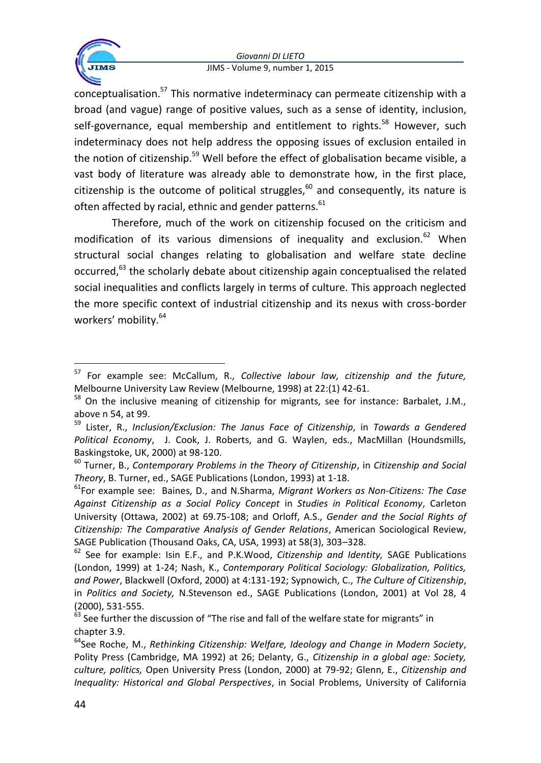

conceptualisation.<sup>57</sup> This normative indeterminacy can permeate citizenship with a broad (and vague) range of positive values, such as a sense of identity, inclusion, self-governance, equal membership and entitlement to rights.<sup>58</sup> However, such indeterminacy does not help address the opposing issues of exclusion entailed in the notion of citizenship.<sup>59</sup> Well before the effect of globalisation became visible, a vast body of literature was already able to demonstrate how, in the first place, citizenship is the outcome of political struggles.<sup>60</sup> and consequently, its nature is often affected by racial, ethnic and gender patterns.<sup>61</sup>

Therefore, much of the work on citizenship focused on the criticism and modification of its various dimensions of inequality and exclusion. $62$  When structural social changes relating to globalisation and welfare state decline occurred,<sup>63</sup> the scholarly debate about citizenship again conceptualised the related social inequalities and conflicts largely in terms of culture. This approach neglected the more specific context of industrial citizenship and its nexus with cross-border workers' mobility.<sup>64</sup>

 $\ddot{\phantom{a}}$ <sup>57</sup> For example see: McCallum, R., *Collective labour law, citizenship and the future,*  Melbourne University Law Review (Melbourne, 1998) at 22:(1) 42-61.

<sup>&</sup>lt;sup>58</sup> On the inclusive meaning of citizenship for migrants, see for instance: Barbalet, J.M., above n 54, at 99.

<sup>59</sup> Lister, R., *Inclusion/Exclusion: The Janus Face of Citizenship*, in *Towards a Gendered Political Economy*, J. Cook, J. Roberts, and G. Waylen, eds., MacMillan (Houndsmills, Baskingstoke, UK, 2000) at 98-120.

<sup>60</sup> Turner, B., *Contemporary Problems in the Theory of Citizenship*, in *Citizenship and Social Theory*, B. Turner, ed., SAGE Publications (London, 1993) at 1-18.

<sup>61</sup>For example see: Baines, D., and N.Sharma, *Migrant Workers as Non-Citizens: The Case Against Citizenship as a Social Policy Concept* in *Studies in Political Economy*, Carleton University (Ottawa, 2002) at 69.75-108; and Orloff, A.S., *Gender and the Social Rights of Citizenship: The Comparative Analysis of Gender Relations*, American Sociological Review, SAGE Publication (Thousand Oaks, CA, USA, 1993) at 58(3), 303–328.

<sup>62</sup> See for example: Isin E.F., and P.K.Wood, *Citizenship and Identity,* SAGE Publications (London, 1999) at 1-24; Nash, K., *Contemporary Political Sociology: Globalization, Politics, and Power*, Blackwell (Oxford, 2000) at 4:131-192; Sypnowich, C., *The Culture of Citizenship*, in *Politics and Society,* N.Stevenson ed., SAGE Publications (London, 2001) at Vol 28, 4 (2000), 531-555.

 $63$  See further the discussion of "The rise and fall of the welfare state for migrants" in chapter 3.9.

<sup>64</sup>See Roche, M., *Rethinking Citizenship: Welfare, Ideology and Change in Modern Society*, Polity Press (Cambridge, MA 1992) at 26; Delanty, G., *Citizenship in a global age: Society, culture, politics,* Open University Press (London, 2000) at 79-92; Glenn, E., *Citizenship and Inequality: Historical and Global Perspectives*, in Social Problems, University of California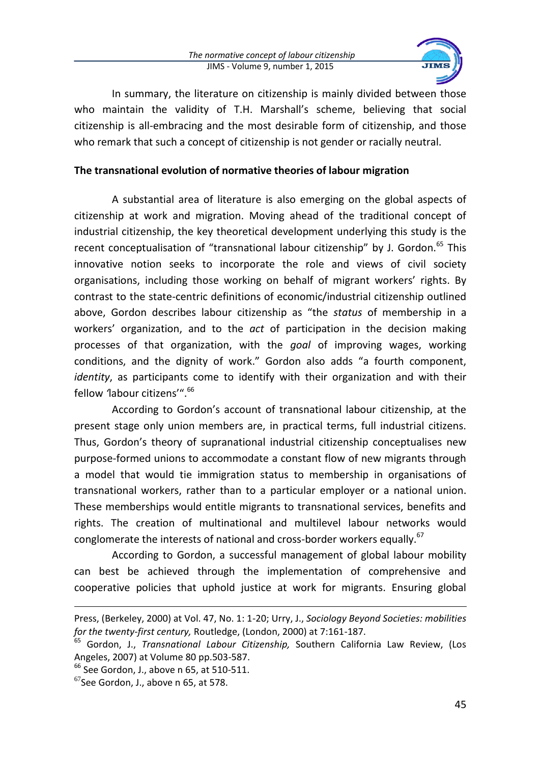

In summary, the literature on citizenship is mainly divided between those who maintain the validity of T.H. Marshall's scheme, believing that social citizenship is all-embracing and the most desirable form of citizenship, and those who remark that such a concept of citizenship is not gender or racially neutral.

# **The transnational evolution of normative theories of labour migration**

A substantial area of literature is also emerging on the global aspects of citizenship at work and migration. Moving ahead of the traditional concept of industrial citizenship, the key theoretical development underlying this study is the recent conceptualisation of "transnational labour citizenship" by J. Gordon.<sup>65</sup> This innovative notion seeks to incorporate the role and views of civil society organisations, including those working on behalf of migrant workers' rights. By contrast to the state-centric definitions of economic/industrial citizenship outlined above, Gordon describes labour citizenship as "the *status* of membership in a workers' organization, and to the *act* of participation in the decision making processes of that organization, with the *goal* of improving wages, working conditions, and the dignity of work." Gordon also adds "a fourth component, *identity*, as participants come to identify with their organization and with their fellow *'labour citizens'*".<sup>66</sup>

According to Gordon's account of transnational labour citizenship, at the present stage only union members are, in practical terms, full industrial citizens. Thus, Gordon's theory of supranational industrial citizenship conceptualises new purpose-formed unions to accommodate a constant flow of new migrants through a model that would tie immigration status to membership in organisations of transnational workers, rather than to a particular employer or a national union. These memberships would entitle migrants to transnational services, benefits and rights. The creation of multinational and multilevel labour networks would conglomerate the interests of national and cross-border workers equally.<sup>67</sup>

According to Gordon, a successful management of global labour mobility can best be achieved through the implementation of comprehensive and cooperative policies that uphold justice at work for migrants. Ensuring global

1

Press, (Berkeley, 2000) at Vol. 47, No. 1: 1-20; Urry, J., *Sociology Beyond Societies: mobilities for the twenty-first century,* Routledge, (London, 2000) at 7:161-187.

<sup>65</sup> Gordon, J., *Transnational Labour Citizenship,* Southern California Law Review, (Los Angeles, 2007) at Volume 80 pp.503-587.

 $<sup>66</sup>$  See Gordon, J., above n 65, at 510-511.</sup>

 $67$ See Gordon, J., above n 65, at 578.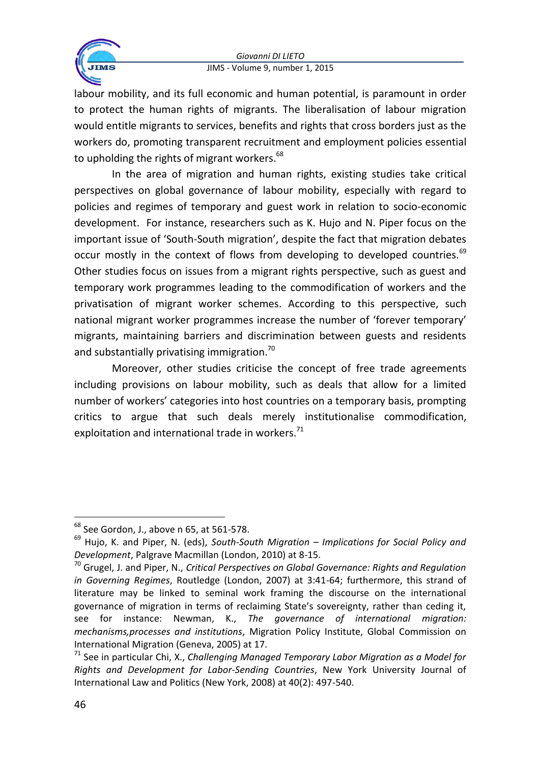

labour mobility, and its full economic and human potential, is paramount in order to protect the human rights of migrants. The liberalisation of labour migration would entitle migrants to services, benefits and rights that cross borders just as the workers do, promoting transparent recruitment and employment policies essential to upholding the rights of migrant workers. $68$ 

In the area of migration and human rights, existing studies take critical perspectives on global governance of labour mobility, especially with regard to policies and regimes of temporary and guest work in relation to socio-economic development. For instance, researchers such as K. Hujo and N. Piper focus on the important issue of 'South-South migration', despite the fact that migration debates occur mostly in the context of flows from developing to developed countries.<sup>69</sup> Other studies focus on issues from a migrant rights perspective, such as guest and temporary work programmes leading to the commodification of workers and the privatisation of migrant worker schemes. According to this perspective, such national migrant worker programmes increase the number of 'forever temporary' migrants, maintaining barriers and discrimination between guests and residents and substantially privatising immigration.<sup>70</sup>

Moreover, other studies criticise the concept of free trade agreements including provisions on labour mobility, such as deals that allow for a limited number of workers' categories into host countries on a temporary basis, prompting critics to argue that such deals merely institutionalise commodification, exploitation and international trade in workers. $71$ 

 $\overline{a}$ 

 $68$  See Gordon, J., above n 65, at 561-578.

<sup>69</sup> Hujo, K. and Piper, N. (eds), *South-South Migration – Implications for Social Policy and Development*, Palgrave Macmillan (London, 2010) at 8-15.

<sup>70</sup> Grugel, J. and Piper, N., *Critical Perspectives on Global Governance: Rights and Regulation in Governing Regimes*, Routledge (London, 2007) at 3:41-64; furthermore, this strand of literature may be linked to seminal work framing the discourse on the international governance of migration in terms of reclaiming State's sovereignty, rather than ceding it, see for instance: Newman, K., *The governance of international migration: mechanisms,processes and institutions*, Migration Policy Institute, Global Commission on International Migration (Geneva, 2005) at 17.

<sup>71</sup> See in particular Chi, X., *Challenging Managed Temporary Labor Migration as a Model for Rights and Development for Labor-Sending Countries*, New York University Journal of International Law and Politics (New York, 2008) at 40(2): 497-540.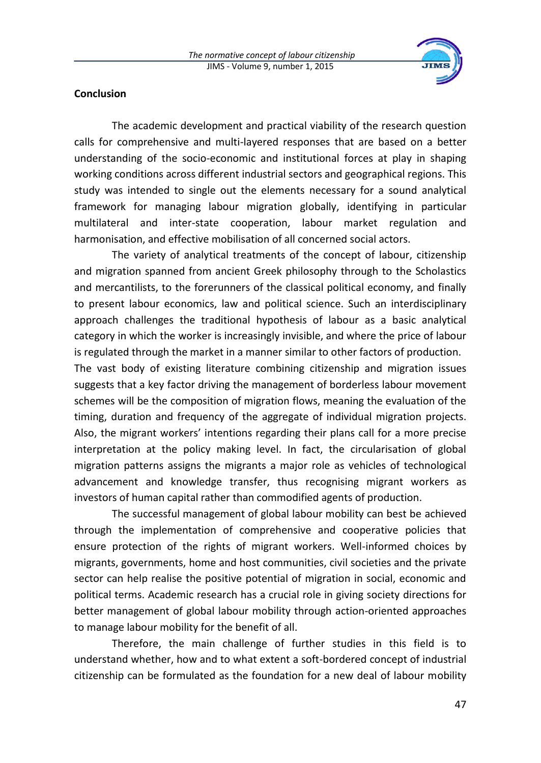

# **Conclusion**

The academic development and practical viability of the research question calls for comprehensive and multi-layered responses that are based on a better understanding of the socio-economic and institutional forces at play in shaping working conditions across different industrial sectors and geographical regions. This study was intended to single out the elements necessary for a sound analytical framework for managing labour migration globally, identifying in particular multilateral and inter-state cooperation, labour market regulation and harmonisation, and effective mobilisation of all concerned social actors.

The variety of analytical treatments of the concept of labour, citizenship and migration spanned from ancient Greek philosophy through to the Scholastics and mercantilists, to the forerunners of the classical political economy, and finally to present labour economics, law and political science. Such an interdisciplinary approach challenges the traditional hypothesis of labour as a basic analytical category in which the worker is increasingly invisible, and where the price of labour is regulated through the market in a manner similar to other factors of production.

The vast body of existing literature combining citizenship and migration issues suggests that a key factor driving the management of borderless labour movement schemes will be the composition of migration flows, meaning the evaluation of the timing, duration and frequency of the aggregate of individual migration projects. Also, the migrant workers' intentions regarding their plans call for a more precise interpretation at the policy making level. In fact, the circularisation of global migration patterns assigns the migrants a major role as vehicles of technological advancement and knowledge transfer, thus recognising migrant workers as investors of human capital rather than commodified agents of production.

The successful management of global labour mobility can best be achieved through the implementation of comprehensive and cooperative policies that ensure protection of the rights of migrant workers. Well-informed choices by migrants, governments, home and host communities, civil societies and the private sector can help realise the positive potential of migration in social, economic and political terms. Academic research has a crucial role in giving society directions for better management of global labour mobility through action-oriented approaches to manage labour mobility for the benefit of all.

Therefore, the main challenge of further studies in this field is to understand whether, how and to what extent a soft-bordered concept of industrial citizenship can be formulated as the foundation for a new deal of labour mobility